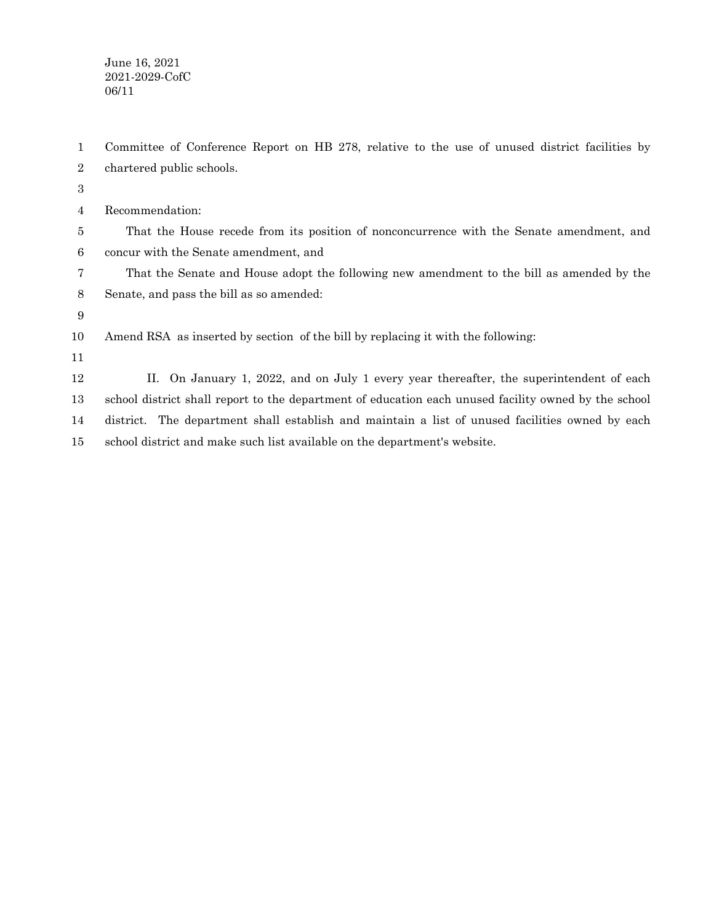June 16, 2021 2021-2029-CofC 06/11

Committee of Conference Report on HB 278, relative to the use of unused district facilities by chartered public schools. 1 2

3

| $\overline{4}$ | Recommendation: |
|----------------|-----------------|
|----------------|-----------------|

That the House recede from its position of nonconcurrence with the Senate amendment, and concur with the Senate amendment, and 5 6

That the Senate and House adopt the following new amendment to the bill as amended by the Senate, and pass the bill as so amended: 7 8

9

Amend RSA as inserted by section of the bill by replacing it with the following: 10

11

II. On January 1, 2022, and on July 1 every year thereafter, the superintendent of each school district shall report to the department of education each unused facility owned by the school district. The department shall establish and maintain a list of unused facilities owned by each school district and make such list available on the department's website. 12 13 14 15